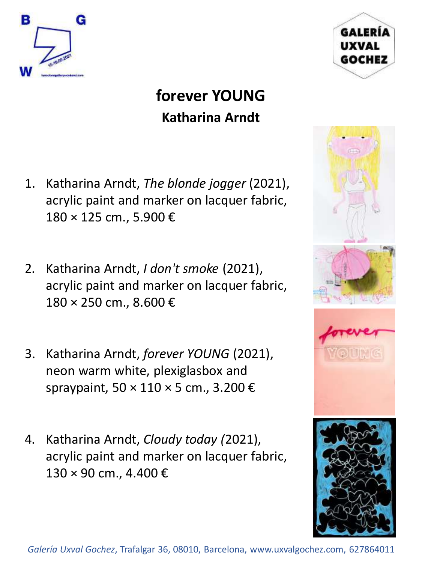



## **forever YOUNG Katharina Arndt**

- 1. Katharina Arndt, *The blonde jogger* (2021), acrylic paint and marker on lacquer fabric, 180 × 125 cm., 5.900 €
- 2. Katharina Arndt, *I don't smoke* (2021), acrylic paint and marker on lacquer fabric, 180 × 250 cm., 8.600 €
- 3. Katharina Arndt, *forever YOUNG* (2021), neon warm white, plexiglasbox and spraypaint,  $50 \times 110 \times 5$  cm., 3.200  $\epsilon$
- 4. Katharina Arndt, *Cloudy today (*2021), acrylic paint and marker on lacquer fabric, 130 × 90 cm., 4.400 €

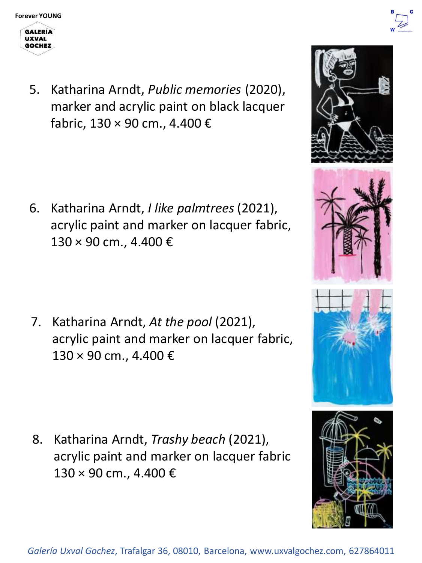**GOCHEZ** 





5. Katharina Arndt, *Public memories* (2020), marker and acrylic paint on black lacquer fabric, 130 × 90 cm., 4.400 €

6. Katharina Arndt, *I like palmtrees* (2021), acrylic paint and marker on lacquer fabric,  $130 \times 90$  cm., 4.400 €

7. Katharina Arndt, *At the pool* (2021), acrylic paint and marker on lacquer fabric, 130 × 90 cm., 4.400 €

8. Katharina Arndt, *Trashy beach* (2021), acrylic paint and marker on lacquer fabric 130 × 90 cm., 4.400 €



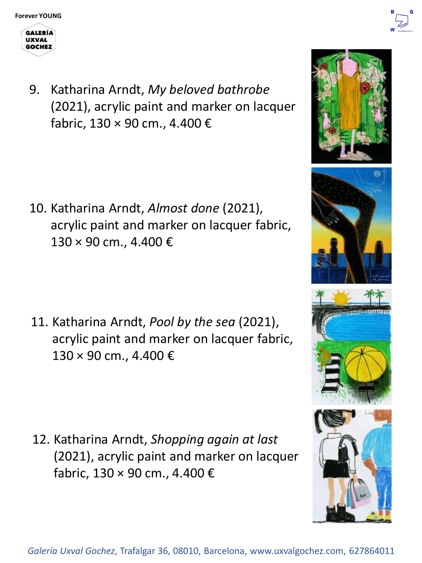**UXVAL** 



9. Katharina Arndt, *My beloved bathrobe* (2021), acrylic paint and marker on lacquer fabric, 130 × 90 cm., 4.400 €

10. Katharina Arndt, *Almost done* (2021), acrylic paint and marker on lacquer fabric,  $130 \times 90$  cm., 4.400 €

11. Katharina Arndt, *Pool by the sea* (2021), acrylic paint and marker on lacquer fabric, 130 × 90 cm., 4.400 €

12. Katharina Arndt, *Shopping again at last*  (2021), acrylic paint and marker on lacquer fabric, 130 × 90 cm., 4.400 €









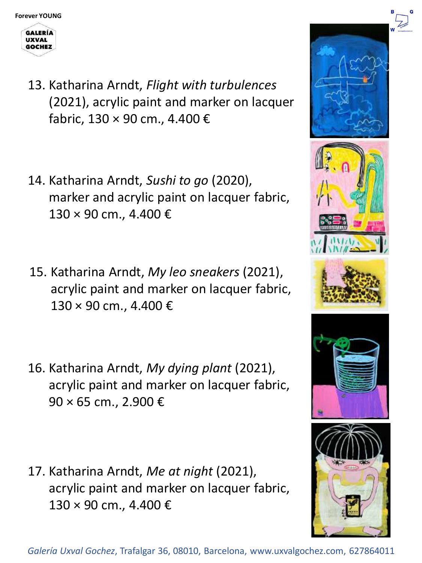

- 13. Katharina Arndt, *Flight with turbulences* (2021), acrylic paint and marker on lacquer fabric, 130 × 90 cm., 4.400 €
- 14. Katharina Arndt, *Sushi to go* (2020), marker and acrylic paint on lacquer fabric, 130 × 90 cm., 4.400 €
- 15. Katharina Arndt, *My leo sneakers* (2021), acrylic paint and marker on lacquer fabric, 130 × 90 cm., 4.400 €
- 16. Katharina Arndt, *My dying plant* (2021), acrylic paint and marker on lacquer fabric, 90 × 65 cm., 2.900 €
- 17. Katharina Arndt, *Me at night* (2021), acrylic paint and marker on lacquer fabric, 130 × 90 cm., 4.400 €

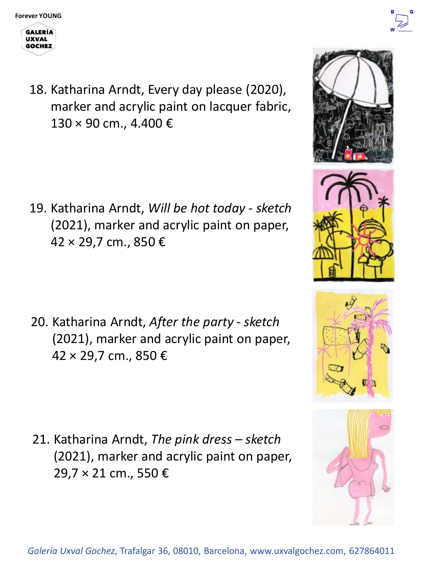



18. Katharina Arndt, Every day please (2020), marker and acrylic paint on lacquer fabric, 130 × 90 cm., 4.400 €

19. Katharina Arndt, *Will be hot today - sketch*  (2021), marker and acrylic paint on paper, 42 × 29,7 cm., 850 €

20. Katharina Arndt, *After the party - sketch*  (2021), marker and acrylic paint on paper, 42 × 29,7 cm., 850 €

21. Katharina Arndt, *The pink dress – sketch*  (2021), marker and acrylic paint on paper, 29,7 × 21 cm., 550 €





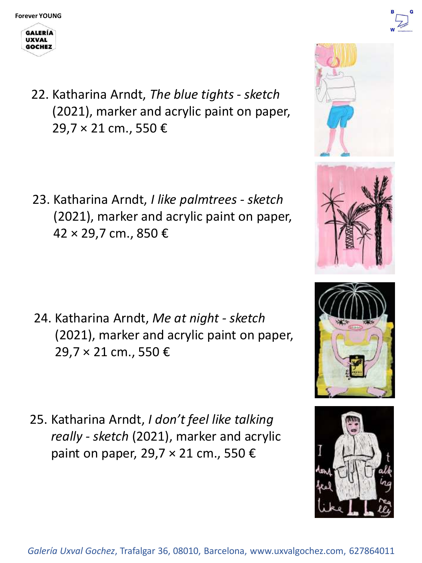

22. Katharina Arndt, *The blue tights - sketch* (2021), marker and acrylic paint on paper, 29,7 × 21 cm., 550 €

23. Katharina Arndt, *I like palmtrees - sketch*  (2021), marker and acrylic paint on paper, 42 × 29,7 cm., 850 €

- 24. Katharina Arndt, *Me at night - sketch*  (2021), marker and acrylic paint on paper, 29,7 × 21 cm., 550 €
- 25. Katharina Arndt, *I don't feel like talking really - sketch* (2021), marker and acrylic paint on paper, 29,7  $\times$  21 cm., 550  $\times$











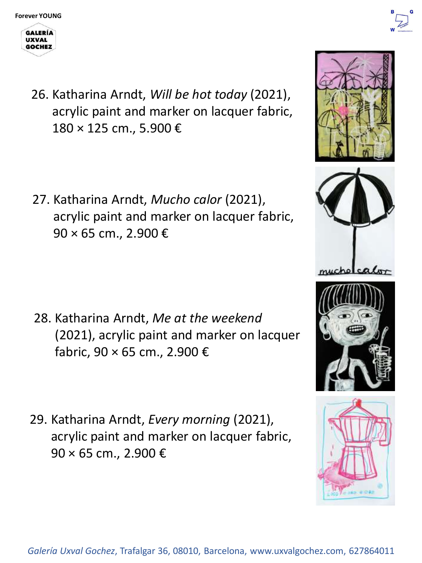



26. Katharina Arndt, *Will be hot today* (2021), acrylic paint and marker on lacquer fabric, 180 × 125 cm., 5.900 €

27. Katharina Arndt, *Mucho calor* (2021), acrylic paint and marker on lacquer fabric, 90 × 65 cm., 2.900 €

- 28. Katharina Arndt, *Me at the weekend*  (2021), acrylic paint and marker on lacquer fabric, 90 × 65 cm., 2.900 €
- 29. Katharina Arndt, *Every morning* (2021), acrylic paint and marker on lacquer fabric, 90 × 65 cm., 2.900 €